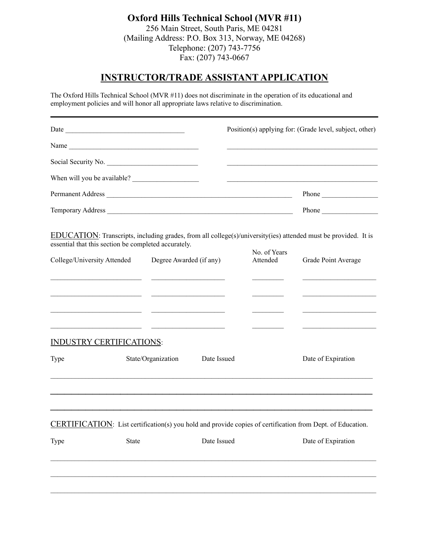# **Oxford Hills Technical School (MVR #11)** 256 Main Street, South Paris, ME 04281

(Mailing Address: P.O. Box 313, Norway, ME 04268) Telephone: (207) 743-7756 Fax: (207) 743-0667

## **INSTRUCTOR/TRADE ASSISTANT APPLICATION**

The Oxford Hills Technical School (MVR #11) does not discriminate in the operation of its educational and employment policies and will honor all appropriate laws relative to discrimination.

| <u> 1989 - Johann John Stein, market fan it ferstjer fan de Amerikaanske kommunister fan it ferstjer fan it fers</u>                                                                                                              |
|-----------------------------------------------------------------------------------------------------------------------------------------------------------------------------------------------------------------------------------|
| Permanent Address<br>Phone                                                                                                                                                                                                        |
| Temporary Address<br>Phone                                                                                                                                                                                                        |
| EDUCATION: Transcripts, including grades, from all college(s)/university(ies) attended must be provided. It is<br>No. of Years<br>Attended<br>Degree Awarded (if any)<br>Grade Point Average                                      |
| <u> 1989 - Johann Stone, fransk politiker (d. 1989)</u><br><u> 1999 - Johann John Harry Harry Harry Harry Harry Harry Harry Harry Harry Harry Harry Harry Harry Harry Harry H</u><br><u> 2000 - Andrea Andrew Maria (b. 2001)</u> |
| Date Issued<br>Date of Expiration                                                                                                                                                                                                 |
| <b>CERTIFICATION:</b> List certification(s) you hold and provide copies of certification from Dept. of Education.<br>Date Issued<br>Date of Expiration                                                                            |
|                                                                                                                                                                                                                                   |
|                                                                                                                                                                                                                                   |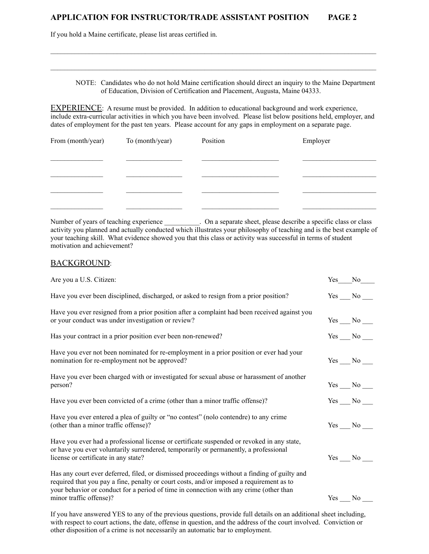### **APPLICATION FOR INSTRUCTOR/TRADE ASSISTANT POSITION PAGE 2**

If you hold a Maine certificate, please list areas certified in.

| NOTE: Candidates who do not hold Maine certification should direct an inquiry to the Maine Department |
|-------------------------------------------------------------------------------------------------------|
| of Education, Division of Certification and Placement, Augusta, Maine 04333.                          |

EXPERIENCE: A resume must be provided. In addition to educational background and work experience, include extra-curricular activities in which you have been involved. Please list below positions held, employer, and dates of employment for the past ten years. Please account for any gaps in employment on a separate page.

 $\mathcal{L}_\mathcal{L} = \mathcal{L}_\mathcal{L}$ 

| From (month/year) | To (month/year) | Position | Employer |
|-------------------|-----------------|----------|----------|
|                   |                 |          |          |
|                   |                 |          |          |
|                   |                 |          |          |
|                   |                 |          |          |
|                   |                 |          |          |

Number of years of teaching experience \_\_\_\_\_\_\_\_\_\_. On a separate sheet, please describe a specific class or class activity you planned and actually conducted which illustrates your philosophy of teaching and is the best example of your teaching skill. What evidence showed you that this class or activity was successful in terms of student motivation and achievement?

#### BACKGROUND:

| Yes | N <sub>0</sub>    |
|-----|-------------------|
|     | Yes No            |
|     | $Yes$ No $\_\_$   |
|     | $Yes$ No $\_\_$   |
|     | $Yes$ No $\_\_$   |
|     | $Yes \_\_No \_\_$ |
|     | $Yes$ No $\_\_$   |
|     | $Yes$ No          |
|     | Yes No            |
|     |                   |
|     |                   |

If you have answered YES to any of the previous questions, provide full details on an additional sheet including, with respect to court actions, the date, offense in question, and the address of the court involved. Conviction or other disposition of a crime is not necessarily an automatic bar to employment.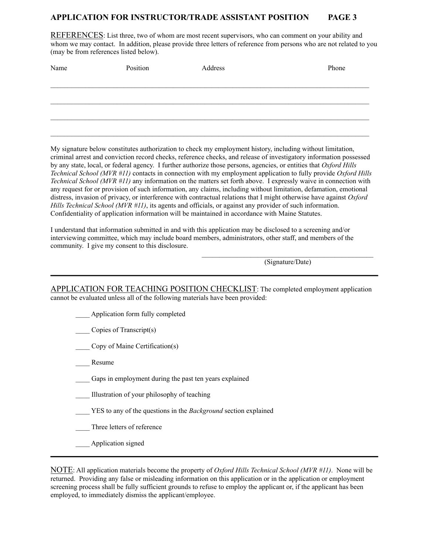#### **APPLICATION FOR INSTRUCTOR/TRADE ASSISTANT POSITION PAGE 3**

REFERENCES: List three, two of whom are most recent supervisors, who can comment on your ability and whom we may contact. In addition, please provide three letters of reference from persons who are not related to you (may be from references listed below).

| Name | Position | Address | Phone |
|------|----------|---------|-------|
|      |          |         |       |
|      |          |         |       |
|      |          |         |       |
|      |          |         |       |
|      |          |         |       |

My signature below constitutes authorization to check my employment history, including without limitation, criminal arrest and conviction record checks, reference checks, and release of investigatory information possessed by any state, local, or federal agency. I further authorize those persons, agencies, or entities that *Oxford Hills Technical School (MVR #11)* contacts in connection with my employment application to fully provide *Oxford Hills Technical School (MVR #11)* any information on the matters set forth above. I expressly waive in connection with any request for or provision of such information, any claims, including without limitation, defamation, emotional distress, invasion of privacy, or interference with contractual relations that I might otherwise have against *Oxford Hills Technical School (MVR #11)*, its agents and officials, or against any provider of such information. Confidentiality of application information will be maintained in accordance with Maine Statutes.

I understand that information submitted in and with this application may be disclosed to a screening and/or interviewing committee, which may include board members, administrators, other staff, and members of the community. I give my consent to this disclosure.

(Signature/Date)

APPLICATION FOR TEACHING POSITION CHECKLIST: The completed employment application cannot be evaluated unless all of the following materials have been provided:

\_\_\_\_ Application form fully completed

Copies of Transcript(s)

\_\_\_\_ Copy of Maine Certification(s)

Resume

Gaps in employment during the past ten years explained

\_\_\_\_ Illustration of your philosophy of teaching

\_\_\_\_ YES to any of the questions in the *Background* section explained

Three letters of reference

\_\_\_\_ Application signed

NOTE: All application materials become the property of *Oxford Hills Technical School (MVR #11)*. None will be returned. Providing any false or misleading information on this application or in the application or employment screening process shall be fully sufficient grounds to refuse to employ the applicant or, if the applicant has been employed, to immediately dismiss the applicant/employee.